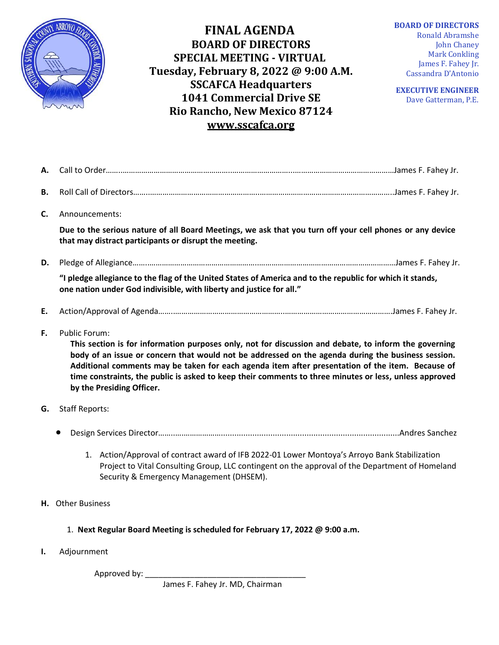

**FINAL AGENDA BOARD OF DIRECTORS SPECIAL MEETING - VIRTUAL Tuesday, February 8, 2022 @ 9:00 A.M. SSCAFCA Headquarters 1041 Commercial Drive SE Rio Rancho, New Mexico 87124 [www.sscafca.org](http://www.sscafca.org/)** 

**BOARD OF DIRECTORS** Ronald Abramshe John Chaney Mark Conkling James F. Fahey Jr. Cassandra D'Antonio

**EXECUTIVE ENGINEER** Dave Gatterman, P.E*.*

| А. |                                                                                                                                                                                                                                                                                                                                                                                                                                                                                |  |
|----|--------------------------------------------------------------------------------------------------------------------------------------------------------------------------------------------------------------------------------------------------------------------------------------------------------------------------------------------------------------------------------------------------------------------------------------------------------------------------------|--|
| Β. |                                                                                                                                                                                                                                                                                                                                                                                                                                                                                |  |
| C. | Announcements:                                                                                                                                                                                                                                                                                                                                                                                                                                                                 |  |
|    | Due to the serious nature of all Board Meetings, we ask that you turn off your cell phones or any device<br>that may distract participants or disrupt the meeting.                                                                                                                                                                                                                                                                                                             |  |
| D. |                                                                                                                                                                                                                                                                                                                                                                                                                                                                                |  |
|    | "I pledge allegiance to the flag of the United States of America and to the republic for which it stands,<br>one nation under God indivisible, with liberty and justice for all."                                                                                                                                                                                                                                                                                              |  |
| E. |                                                                                                                                                                                                                                                                                                                                                                                                                                                                                |  |
| F. | <b>Public Forum:</b><br>This section is for information purposes only, not for discussion and debate, to inform the governing<br>body of an issue or concern that would not be addressed on the agenda during the business session.<br>Additional comments may be taken for each agenda item after presentation of the item. Because of<br>time constraints, the public is asked to keep their comments to three minutes or less, unless approved<br>by the Presiding Officer. |  |
| G. | <b>Staff Reports:</b>                                                                                                                                                                                                                                                                                                                                                                                                                                                          |  |
|    |                                                                                                                                                                                                                                                                                                                                                                                                                                                                                |  |
|    | 1. Action/Approval of contract award of IFB 2022-01 Lower Montoya's Arroyo Bank Stabilization<br>Project to Vital Consulting Group, LLC contingent on the approval of the Department of Homeland<br>Security & Emergency Management (DHSEM).                                                                                                                                                                                                                                   |  |
|    | <b>H.</b> Other Business                                                                                                                                                                                                                                                                                                                                                                                                                                                       |  |
|    |                                                                                                                                                                                                                                                                                                                                                                                                                                                                                |  |
|    | 1. Next Regular Board Meeting is scheduled for February 17, 2022 @ 9:00 a.m.                                                                                                                                                                                                                                                                                                                                                                                                   |  |

Approved by: \_\_\_

James F. Fahey Jr. MD, Chairman